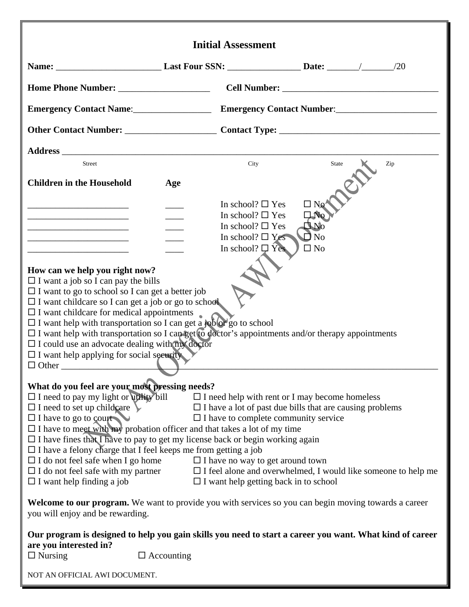|                                                                                                                                                                                                                                                                                                                                                                                                                                                                                                                                                                                     |                   | <b>Initial Assessment</b>                                                                                                                                                                                                                                          |                                                                    |                                                                      |
|-------------------------------------------------------------------------------------------------------------------------------------------------------------------------------------------------------------------------------------------------------------------------------------------------------------------------------------------------------------------------------------------------------------------------------------------------------------------------------------------------------------------------------------------------------------------------------------|-------------------|--------------------------------------------------------------------------------------------------------------------------------------------------------------------------------------------------------------------------------------------------------------------|--------------------------------------------------------------------|----------------------------------------------------------------------|
|                                                                                                                                                                                                                                                                                                                                                                                                                                                                                                                                                                                     |                   |                                                                                                                                                                                                                                                                    |                                                                    |                                                                      |
|                                                                                                                                                                                                                                                                                                                                                                                                                                                                                                                                                                                     |                   |                                                                                                                                                                                                                                                                    |                                                                    |                                                                      |
| Emergency Contact Name: Emergency Contact Number: _______________________________                                                                                                                                                                                                                                                                                                                                                                                                                                                                                                   |                   |                                                                                                                                                                                                                                                                    |                                                                    |                                                                      |
|                                                                                                                                                                                                                                                                                                                                                                                                                                                                                                                                                                                     |                   |                                                                                                                                                                                                                                                                    |                                                                    |                                                                      |
|                                                                                                                                                                                                                                                                                                                                                                                                                                                                                                                                                                                     |                   |                                                                                                                                                                                                                                                                    |                                                                    |                                                                      |
| <b>Street</b>                                                                                                                                                                                                                                                                                                                                                                                                                                                                                                                                                                       |                   | City                                                                                                                                                                                                                                                               | <b>State</b>                                                       | Zip                                                                  |
| <b>Children in the Household</b>                                                                                                                                                                                                                                                                                                                                                                                                                                                                                                                                                    | Age               |                                                                                                                                                                                                                                                                    |                                                                    |                                                                      |
| the control of the control of the control of the control of the control of<br>the control of the control of the control of the control of the control of                                                                                                                                                                                                                                                                                                                                                                                                                            |                   | In school? $\square$ Yes<br>In school? $\square$ Yes<br>In school? $\square$ Yes<br>In school? $\Box$ Yes<br>In school? $\Box$ Yes                                                                                                                                 | $\Box$ No<br>$\Box$ No<br>$J_{N0}$<br>$\square$ No<br>$\square$ No |                                                                      |
| How can we help you right now?<br>$\Box$ I want a job so I can pay the bills<br>$\Box$ I want to go to school so I can get a better job<br>$\Box$ I want childcare so I can get a job or go to school<br>$\Box$ I want childcare for medical appointments<br>$\Box$ I want help with transportation so I can get a job or go to school<br>$\Box$ I want help with transportation so I can get to doctor's appointments and/or therapy appointments<br>$\Box$ I could use an advocate dealing with $m\chi$ doctor<br>$\Box$ I want help applying for social security<br>$\Box$ Other |                   |                                                                                                                                                                                                                                                                    |                                                                    |                                                                      |
| What do you feel are your most pressing needs?<br>$\Box$ I need to pay my light or utility bill<br>$\Box$ I need to set up childcare<br>$\Box$ I have to go to court<br>$\Box$ I have to meet with my probation officer and that takes a lot of my time<br>$\square$ I have fines that I have to pay to get my license back or begin working again<br>$\square$ I have a felony charge that I feel keeps me from getting a job<br>$\Box$ I do not feel safe when I go home<br>$\Box$ I do not feel safe with my partner<br>$\Box$ I want help finding a job                         |                   | $\Box$ I need help with rent or I may become homeless<br>$\Box$ I have a lot of past due bills that are causing problems<br>$\Box$ I have to complete community service<br>$\Box$ I have no way to get around town<br>$\Box$ I want help getting back in to school |                                                                    | $\Box$ I feel alone and overwhelmed, I would like someone to help me |
| <b>Welcome to our program.</b> We want to provide you with services so you can begin moving towards a career<br>you will enjoy and be rewarding.                                                                                                                                                                                                                                                                                                                                                                                                                                    |                   |                                                                                                                                                                                                                                                                    |                                                                    |                                                                      |
| Our program is designed to help you gain skills you need to start a career you want. What kind of career<br>are you interested in?<br>$\Box$ Nursing<br>NOT AN OFFICIAL AWI DOCUMENT.                                                                                                                                                                                                                                                                                                                                                                                               | $\Box$ Accounting |                                                                                                                                                                                                                                                                    |                                                                    |                                                                      |
|                                                                                                                                                                                                                                                                                                                                                                                                                                                                                                                                                                                     |                   |                                                                                                                                                                                                                                                                    |                                                                    |                                                                      |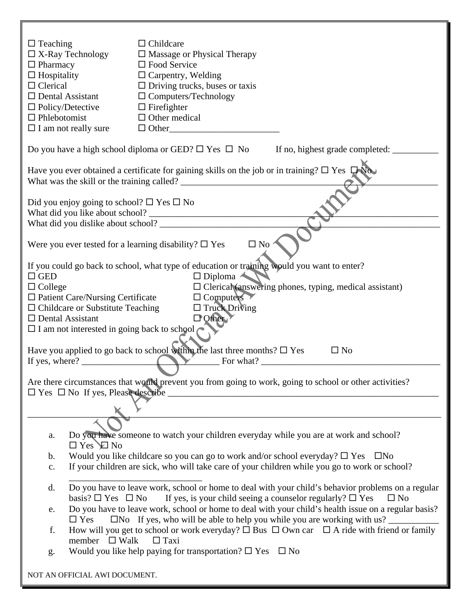| $\Box$ Teaching                                               | $\Box$ Childcare                                                                                                      |  |  |
|---------------------------------------------------------------|-----------------------------------------------------------------------------------------------------------------------|--|--|
| $\Box$ X-Ray Technology                                       | $\Box$ Massage or Physical Therapy                                                                                    |  |  |
| $\Box$ Pharmacy                                               | $\square$ Food Service                                                                                                |  |  |
| $\Box$ Hospitality                                            | $\Box$ Carpentry, Welding                                                                                             |  |  |
| $\Box$ Clerical                                               | $\Box$ Driving trucks, buses or taxis                                                                                 |  |  |
| $\Box$ Dental Assistant                                       | $\Box$ Computers/Technology                                                                                           |  |  |
| $\Box$ Policy/Detective                                       | $\Box$ Firefighter                                                                                                    |  |  |
| $\Box$ Phlebotomist                                           | $\Box$ Other medical                                                                                                  |  |  |
| $\Box$ I am not really sure                                   | $\Box$ Other                                                                                                          |  |  |
|                                                               | Do you have a high school diploma or GED? $\Box$ Yes $\Box$ No If no, highest grade completed: $\Box$                 |  |  |
|                                                               | Have you ever obtained a certificate for gaining skills on the job or in training? $\Box$ Yes $\Box$ No.              |  |  |
|                                                               |                                                                                                                       |  |  |
| Did you enjoy going to school? $\square$ Yes $\square$ No     |                                                                                                                       |  |  |
|                                                               |                                                                                                                       |  |  |
|                                                               |                                                                                                                       |  |  |
| Were you ever tested for a learning disability? $\square$ Yes | $\square$ No                                                                                                          |  |  |
|                                                               | If you could go back to school, what type of education or training would you want to enter?                           |  |  |
| $\Box$ GED                                                    | $\Box$ Diploma                                                                                                        |  |  |
| $\Box$ College                                                | $\Box$ Clerical (answering phones, typing, medical assistant)                                                         |  |  |
| $\Box$ Patient Care/Nursing Certificate                       | $\Box$ Computers                                                                                                      |  |  |
| $\Box$ Childcare or Substitute Teaching                       | $\Box$ Truck Driving                                                                                                  |  |  |
| $\Box$ Dental Assistant                                       | $\Box$ Other                                                                                                          |  |  |
| $\Box$ I am not interested in going back to school            |                                                                                                                       |  |  |
|                                                               |                                                                                                                       |  |  |
|                                                               | Have you applied to go back to school within the last three months? $\Box$ Yes<br>$\square$ No                        |  |  |
| If yes, where?                                                | For what?                                                                                                             |  |  |
|                                                               | Are there circumstances that would prevent you from going to work, going to school or other activities?               |  |  |
| $\square$ Yes $\square$ No If yes, Please describe            |                                                                                                                       |  |  |
|                                                               |                                                                                                                       |  |  |
|                                                               |                                                                                                                       |  |  |
| a.                                                            | Do you have someone to watch your children everyday while you are at work and school?                                 |  |  |
| $\Box$ Yes $\Box$ No                                          |                                                                                                                       |  |  |
|                                                               | Would you like childcare so you can go to work and/or school everyday? $\square$ Yes<br>$\square$ No<br>$\mathbf b$ . |  |  |
| $\mathbf{C}$ .                                                | If your children are sick, who will take care of your children while you go to work or school?                        |  |  |
| d.                                                            | Do you have to leave work, school or home to deal with your child's behavior problems on a regular                    |  |  |
| basis? $\square$ Yes $\square$ No                             | If yes, is your child seeing a counselor regularly? $\square$ Yes<br>$\square$ No                                     |  |  |
| e.                                                            | Do you have to leave work, school or home to deal with your child's health issue on a regular basis?                  |  |  |
| $\Box$ Yes                                                    | $\Box$ No If yes, who will be able to help you while you are working with us?                                         |  |  |
| f.                                                            | How will you get to school or work everyday? $\Box$ Bus $\Box$ Own car $\Box$ A ride with friend or family            |  |  |
| member $\Box$ Walk                                            | $\Box$ Taxi                                                                                                           |  |  |
| g.                                                            | Would you like help paying for transportation? $\square$ Yes $\square$ No                                             |  |  |
| NOT AN OFFICIAL AWI DOCUMENT.                                 |                                                                                                                       |  |  |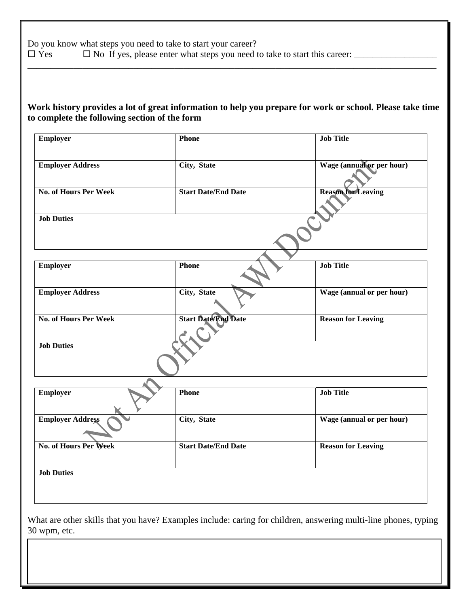Do you know what steps you need to take to start your career?<br> $\square$  Yes  $\square$  No If yes, please enter what steps you need t  $\square$  No If yes, please enter what steps you need to take to start this career:  $\_\_$ 

## **Work history provides a lot of great information to help you prepare for work or school. Please take time to complete the following section of the form**

\_\_\_\_\_\_\_\_\_\_\_\_\_\_\_\_\_\_\_\_\_\_\_\_\_\_\_\_\_\_\_\_\_\_\_\_\_\_\_\_\_\_\_\_\_\_\_\_\_\_\_\_\_\_\_\_\_\_\_\_\_\_\_\_\_\_\_\_\_\_\_\_\_\_\_\_\_\_\_\_\_\_\_\_\_\_\_\_\_

| <b>Employer</b>              | <b>Phone</b>               | <b>Job Title</b>                                                                                                |  |
|------------------------------|----------------------------|-----------------------------------------------------------------------------------------------------------------|--|
| <b>Employer Address</b>      | City, State                | Wage (annual or per hour)                                                                                       |  |
| <b>No. of Hours Per Week</b> | <b>Start Date/End Date</b> | <b>Reason for Leaving</b>                                                                                       |  |
| <b>Job Duties</b>            |                            |                                                                                                                 |  |
| <b>Employer</b>              | <b>Phone</b>               | <b>Job Title</b>                                                                                                |  |
|                              |                            |                                                                                                                 |  |
| <b>Employer Address</b>      | City, State                | Wage (annual or per hour)                                                                                       |  |
| <b>No. of Hours Per Week</b> | <b>Start Date/End Date</b> | <b>Reason for Leaving</b>                                                                                       |  |
| <b>Job Duties</b>            |                            |                                                                                                                 |  |
|                              | <b>Phone</b>               | <b>Job Title</b>                                                                                                |  |
| <b>Employer</b>              |                            |                                                                                                                 |  |
| <b>Employer Address</b>      | City, State                | Wage (annual or per hour)                                                                                       |  |
| <b>No. of Hours Per Week</b> | <b>Start Date/End Date</b> | <b>Reason for Leaving</b>                                                                                       |  |
| <b>Job Duties</b>            |                            |                                                                                                                 |  |
|                              |                            |                                                                                                                 |  |
|                              |                            | What are other skills that you have? Examples include: caring for children, answering multi-line phones, typing |  |
| 30 wpm, etc.                 |                            |                                                                                                                 |  |

NOT AN OFFICIAL AWI DOCUMENT.